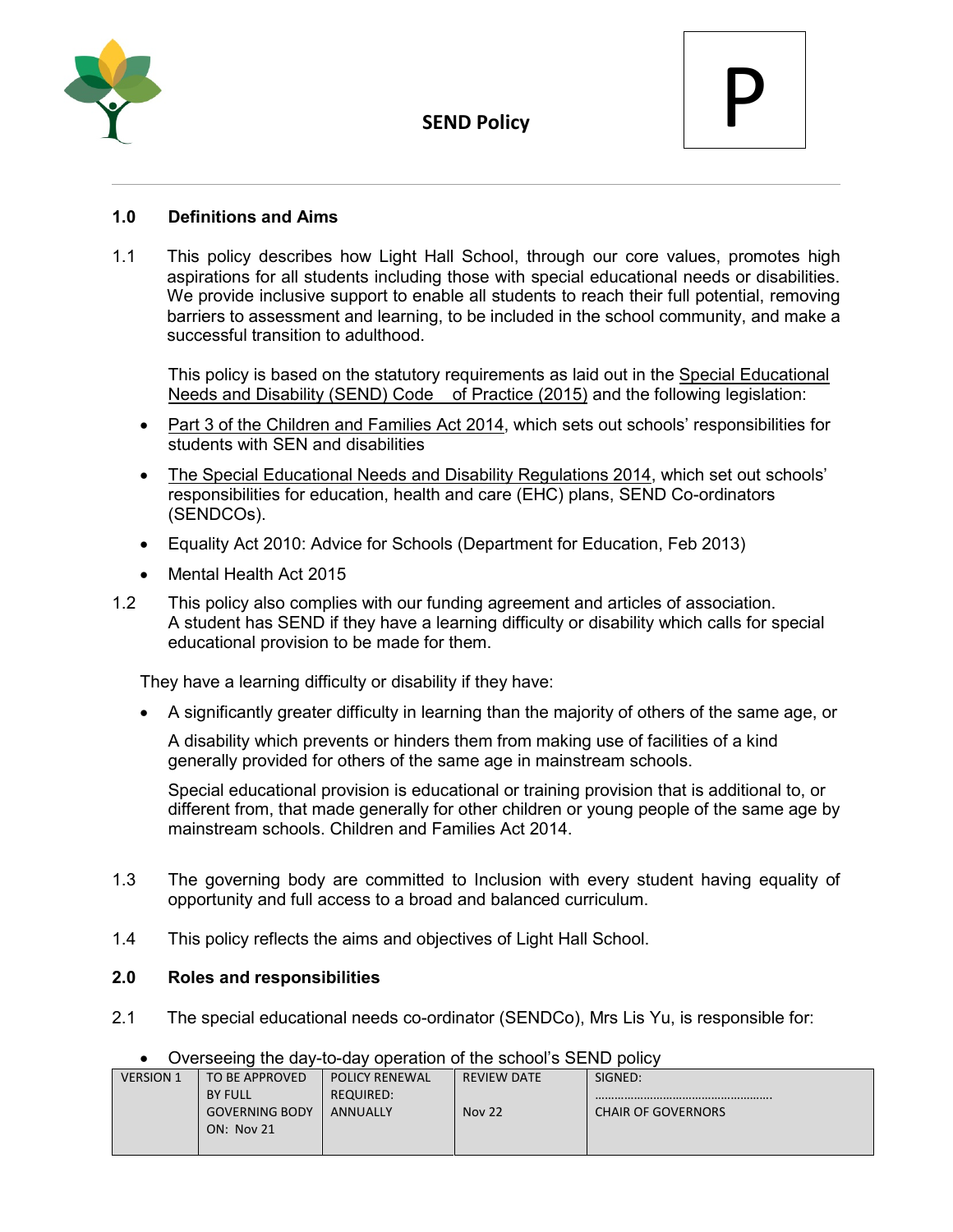



## **1.0 Definitions and Aims**

1.1 This policy describes how Light Hall School, through our core values, promotes high aspirations for all students including those with special educational needs or disabilities. We provide inclusive support to enable all students to reach their full potential, removing barriers to assessment and learning, to be included in the school community, and make a successful transition to adulthood.

This policy is based on the statutory requirements as laid out in the [Special Educational](https://www.gov.uk/government/uploads/system/uploads/attachment_data/file/398815/SEND_Code_of_Practice_January_2015.pdf)  [Needs and Disability \(SEND\) Code of Practice](https://www.gov.uk/government/uploads/system/uploads/attachment_data/file/398815/SEND_Code_of_Practice_January_2015.pdf) (2015) and the following legislation:

- [Part 3 of the Children and Families Act 2014,](http://www.legislation.gov.uk/ukpga/2014/6/part/3) which sets out schools' responsibilities for students with SEN and disabilities
- [The Special Educational Needs and Disability Regulations 2014,](http://www.legislation.gov.uk/uksi/2014/1530/contents/made) which set out schools' responsibilities for education, health and care (EHC) plans, SEND Co-ordinators (SENDCOs).
- Equality Act 2010: Advice for Schools (Department for Education, Feb 2013)
- Mental Health Act 2015
- 1.2 This policy also complies with our funding agreement and articles of association. A student has SEND if they have a learning difficulty or disability which calls for special educational provision to be made for them.

They have a learning difficulty or disability if they have:

• A significantly greater difficulty in learning than the majority of others of the same age, or

A disability which prevents or hinders them from making use of facilities of a kind generally provided for others of the same age in mainstream schools.

Special educational provision is educational or training provision that is additional to, or different from, that made generally for other children or young people of the same age by mainstream schools. Children and Families Act 2014.

- 1.3 The governing body are committed to Inclusion with every student having equality of opportunity and full access to a broad and balanced curriculum.
- 1.4 This policy reflects the aims and objectives of Light Hall School.

### **2.0 Roles and responsibilities**

2.1 The special educational needs co-ordinator (SENDCo), Mrs Lis Yu, is responsible for:

### • Overseeing the day-to-day operation of the school's SEND policy

| <b>VERSION 1</b> | TO BE APPROVED        | <b>POLICY RENEWAL</b> | <b>REVIEW DATE</b> | SIGNED:                   |
|------------------|-----------------------|-----------------------|--------------------|---------------------------|
|                  | <b>BY FULL</b>        | <b>REQUIRED:</b>      |                    |                           |
|                  | <b>GOVERNING BODY</b> | <b>ANNUALLY</b>       | <b>Nov 22</b>      | <b>CHAIR OF GOVERNORS</b> |
|                  | <b>ON: Nov 21</b>     |                       |                    |                           |
|                  |                       |                       |                    |                           |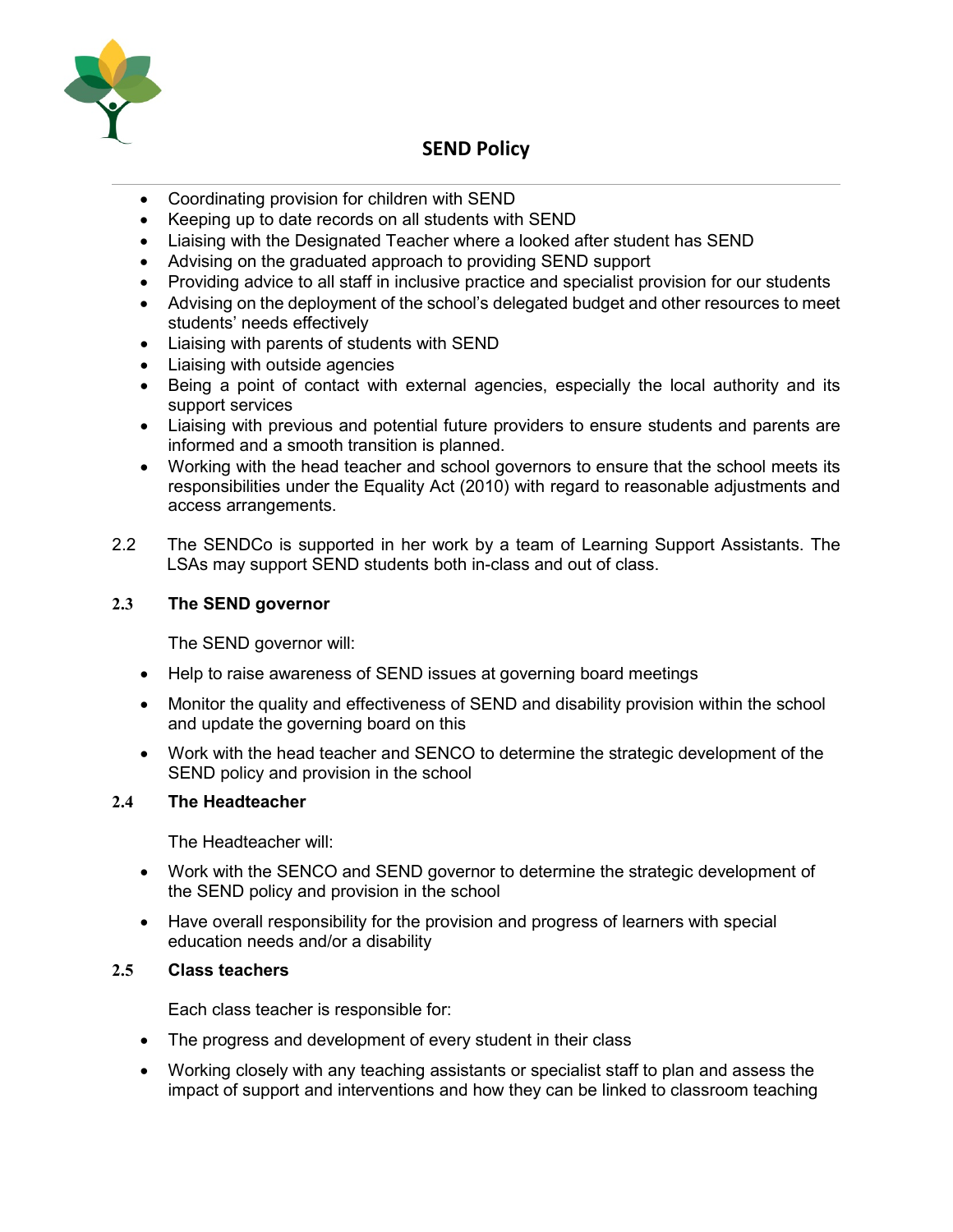

- Coordinating provision for children with SEND
- Keeping up to date records on all students with SEND
- Liaising with the Designated Teacher where a looked after student has SEND
- Advising on the graduated approach to providing SEND support
- Providing advice to all staff in inclusive practice and specialist provision for our students
- Advising on the deployment of the school's delegated budget and other resources to meet students' needs effectively
- Liaising with parents of students with SEND
- Liaising with outside agencies
- Being a point of contact with external agencies, especially the local authority and its support services
- Liaising with previous and potential future providers to ensure students and parents are informed and a smooth transition is planned.
- Working with the head teacher and school governors to ensure that the school meets its responsibilities under the Equality Act (2010) with regard to reasonable adjustments and access arrangements.
- 2.2 The SENDCo is supported in her work by a team of Learning Support Assistants. The LSAs may support SEND students both in-class and out of class.

## **2.3 The SEND governor**

The SEND governor will:

- Help to raise awareness of SEND issues at governing board meetings
- Monitor the quality and effectiveness of SEND and disability provision within the school and update the governing board on this
- Work with the head teacher and SENCO to determine the strategic development of the SEND policy and provision in the school

### **2.4 The Headteacher**

The Headteacher will:

- Work with the SENCO and SEND governor to determine the strategic development of the SEND policy and provision in the school
- Have overall responsibility for the provision and progress of learners with special education needs and/or a disability

### **2.5 Class teachers**

Each class teacher is responsible for:

- The progress and development of every student in their class
- Working closely with any teaching assistants or specialist staff to plan and assess the impact of support and interventions and how they can be linked to classroom teaching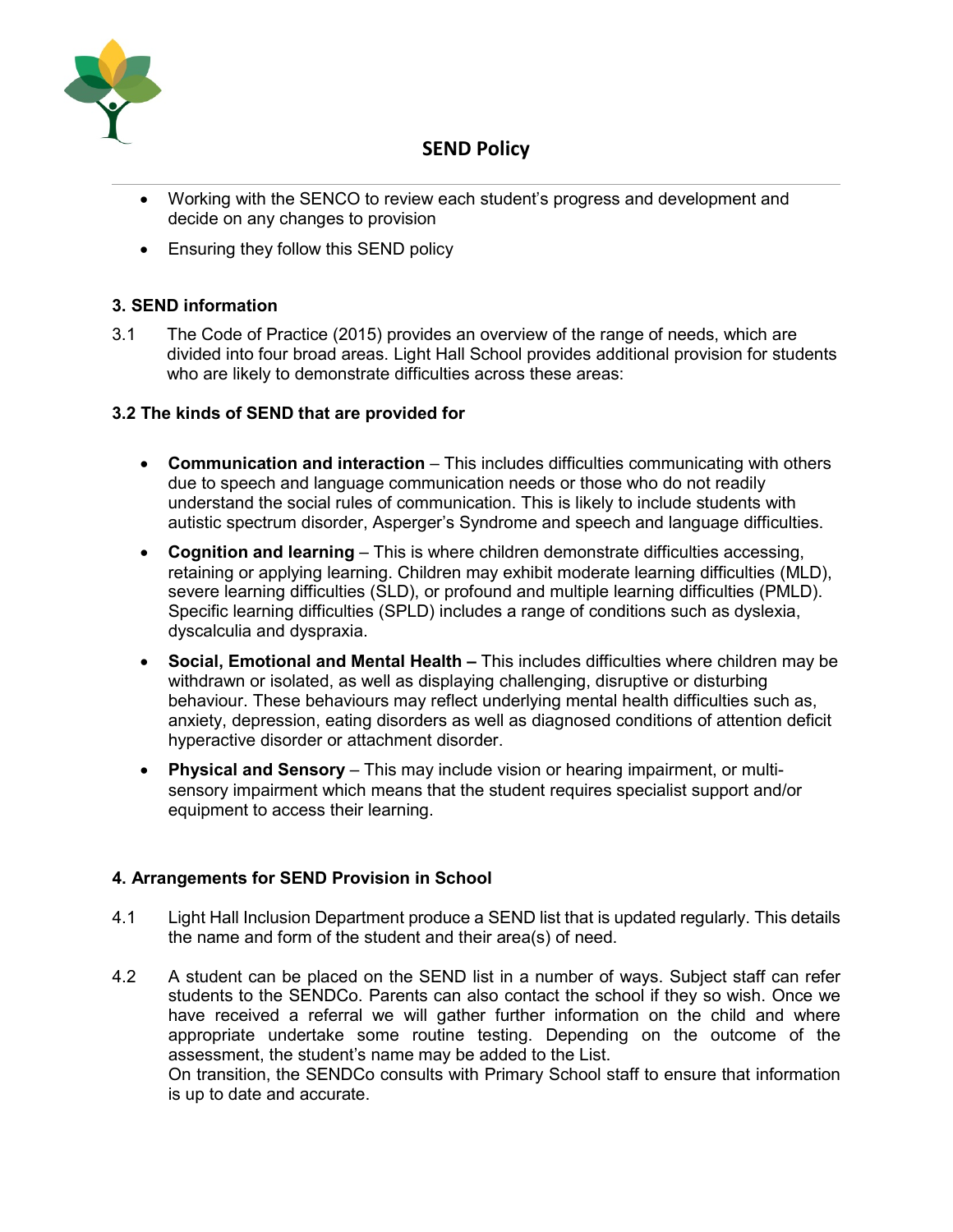

- Working with the SENCO to review each student's progress and development and decide on any changes to provision
- Ensuring they follow this SEND policy

## **3. SEND information**

3.1 The Code of Practice (2015) provides an overview of the range of needs, which are divided into four broad areas. Light Hall School provides additional provision for students who are likely to demonstrate difficulties across these areas:

### **3.2 The kinds of SEND that are provided for**

- **Communication and interaction** This includes difficulties communicating with others due to speech and language communication needs or those who do not readily understand the social rules of communication. This is likely to include students with autistic spectrum disorder, Asperger's Syndrome and speech and language difficulties.
- **Cognition and learning** This is where children demonstrate difficulties accessing, retaining or applying learning. Children may exhibit moderate learning difficulties (MLD), severe learning difficulties (SLD), or profound and multiple learning difficulties (PMLD). Specific learning difficulties (SPLD) includes a range of conditions such as dyslexia, dyscalculia and dyspraxia.
- **Social, Emotional and Mental Health –** This includes difficulties where children may be withdrawn or isolated, as well as displaying challenging, disruptive or disturbing behaviour. These behaviours may reflect underlying mental health difficulties such as, anxiety, depression, eating disorders as well as diagnosed conditions of attention deficit hyperactive disorder or attachment disorder.
- **Physical and Sensory** This may include vision or hearing impairment, or multisensory impairment which means that the student requires specialist support and/or equipment to access their learning.

## **4. Arrangements for SEND Provision in School**

- 4.1 Light Hall Inclusion Department produce a SEND list that is updated regularly. This details the name and form of the student and their area(s) of need.
- 4.2 A student can be placed on the SEND list in a number of ways. Subject staff can refer students to the SENDCo. Parents can also contact the school if they so wish. Once we have received a referral we will gather further information on the child and where appropriate undertake some routine testing. Depending on the outcome of the assessment, the student's name may be added to the List. On transition, the SENDCo consults with Primary School staff to ensure that information is up to date and accurate.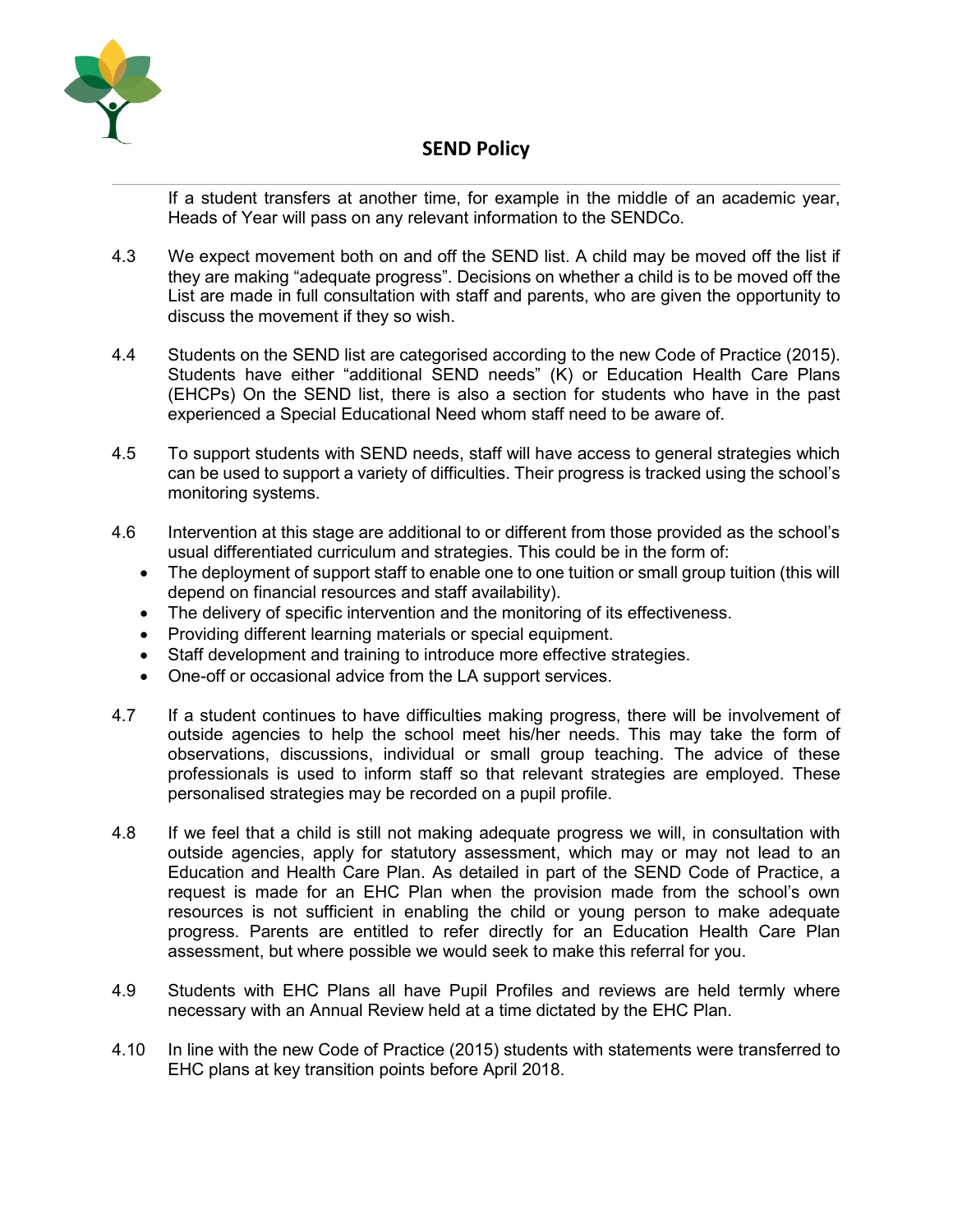

If a student transfers at another time, for example in the middle of an academic year, Heads of Year will pass on any relevant information to the SENDCo.

- 4.3 We expect movement both on and off the SEND list. A child may be moved off the list if they are making "adequate progress". Decisions on whether a child is to be moved off the List are made in full consultation with staff and parents, who are given the opportunity to discuss the movement if they so wish.
- 4.4 Students on the SEND list are categorised according to the new Code of Practice (2015). Students have either "additional SEND needs" (K) or Education Health Care Plans (EHCPs) On the SEND list, there is also a section for students who have in the past experienced a Special Educational Need whom staff need to be aware of.
- 4.5 To support students with SEND needs, staff will have access to general strategies which can be used to support a variety of difficulties. Their progress is tracked using the school's monitoring systems.
- 4.6 Intervention at this stage are additional to or different from those provided as the school's usual differentiated curriculum and strategies. This could be in the form of:
	- The deployment of support staff to enable one to one tuition or small group tuition (this will depend on financial resources and staff availability).
	- The delivery of specific intervention and the monitoring of its effectiveness.
	- Providing different learning materials or special equipment.
	- Staff development and training to introduce more effective strategies.
	- One-off or occasional advice from the LA support services.
- 4.7 If a student continues to have difficulties making progress, there will be involvement of outside agencies to help the school meet his/her needs. This may take the form of observations, discussions, individual or small group teaching. The advice of these professionals is used to inform staff so that relevant strategies are employed. These personalised strategies may be recorded on a pupil profile.
- 4.8 If we feel that a child is still not making adequate progress we will, in consultation with outside agencies, apply for statutory assessment, which may or may not lead to an Education and Health Care Plan. As detailed in part of the SEND Code of Practice, a request is made for an EHC Plan when the provision made from the school's own resources is not sufficient in enabling the child or young person to make adequate progress. Parents are entitled to refer directly for an Education Health Care Plan assessment, but where possible we would seek to make this referral for you.
- 4.9 Students with EHC Plans all have Pupil Profiles and reviews are held termly where necessary with an Annual Review held at a time dictated by the EHC Plan.
- 4.10 In line with the new Code of Practice (2015) students with statements were transferred to EHC plans at key transition points before April 2018.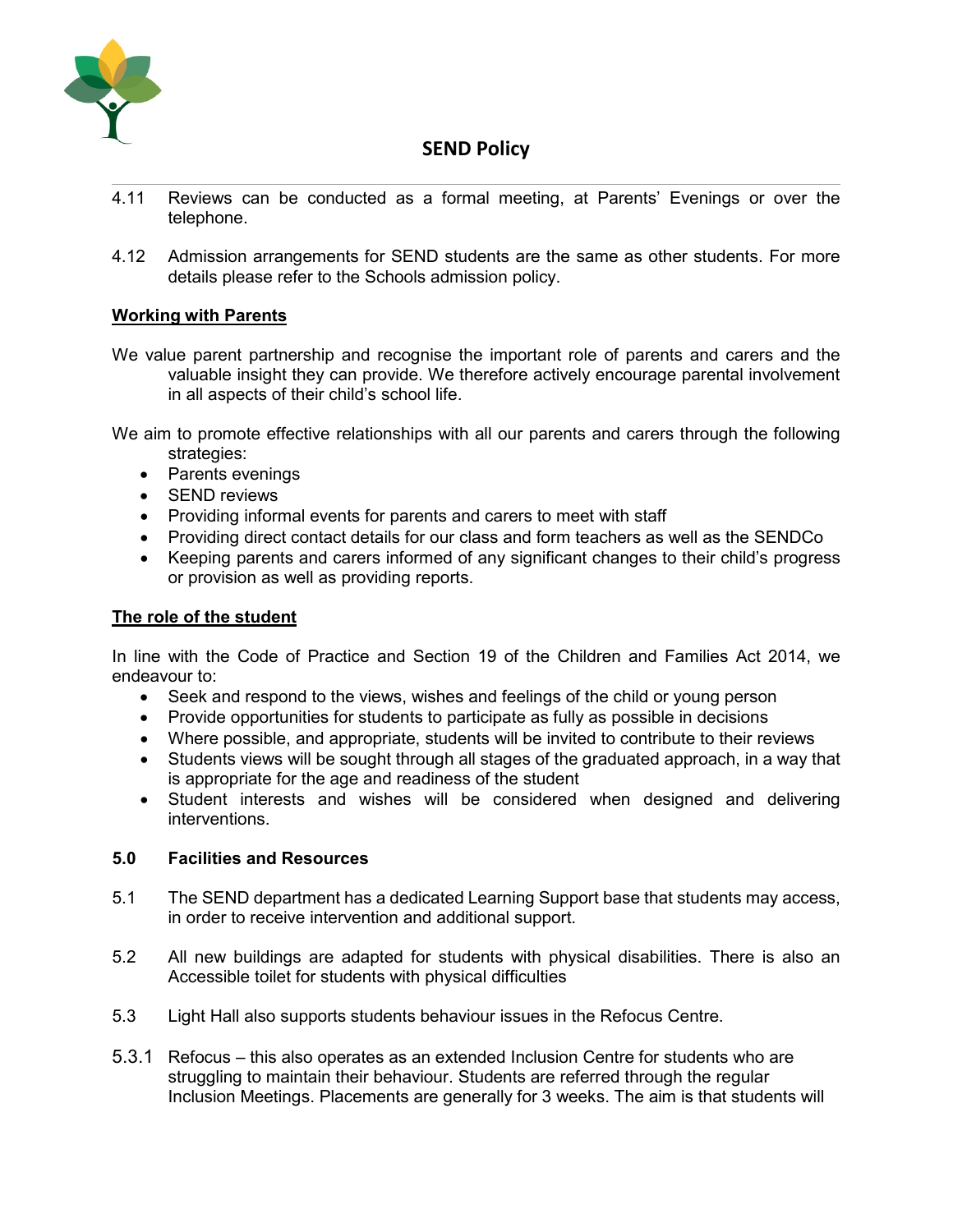

- 4.11 Reviews can be conducted as a formal meeting, at Parents' Evenings or over the telephone.
- 4.12 Admission arrangements for SEND students are the same as other students. For more details please refer to the Schools admission policy.

## **Working with Parents**

We value parent partnership and recognise the important role of parents and carers and the valuable insight they can provide. We therefore actively encourage parental involvement in all aspects of their child's school life.

We aim to promote effective relationships with all our parents and carers through the following strategies:

- Parents evenings
- SEND reviews
- Providing informal events for parents and carers to meet with staff
- Providing direct contact details for our class and form teachers as well as the SENDCo
- Keeping parents and carers informed of any significant changes to their child's progress or provision as well as providing reports.

#### **The role of the student**

In line with the Code of Practice and Section 19 of the Children and Families Act 2014, we endeavour to:

- Seek and respond to the views, wishes and feelings of the child or young person
- Provide opportunities for students to participate as fully as possible in decisions
- Where possible, and appropriate, students will be invited to contribute to their reviews
- Students views will be sought through all stages of the graduated approach, in a way that is appropriate for the age and readiness of the student
- Student interests and wishes will be considered when designed and delivering interventions.

#### **5.0 Facilities and Resources**

- 5.1 The SEND department has a dedicated Learning Support base that students may access, in order to receive intervention and additional support.
- 5.2 All new buildings are adapted for students with physical disabilities. There is also an Accessible toilet for students with physical difficulties
- 5.3 Light Hall also supports students behaviour issues in the Refocus Centre.
- 5.3.1 Refocus this also operates as an extended Inclusion Centre for students who are struggling to maintain their behaviour. Students are referred through the regular Inclusion Meetings. Placements are generally for 3 weeks. The aim is that students will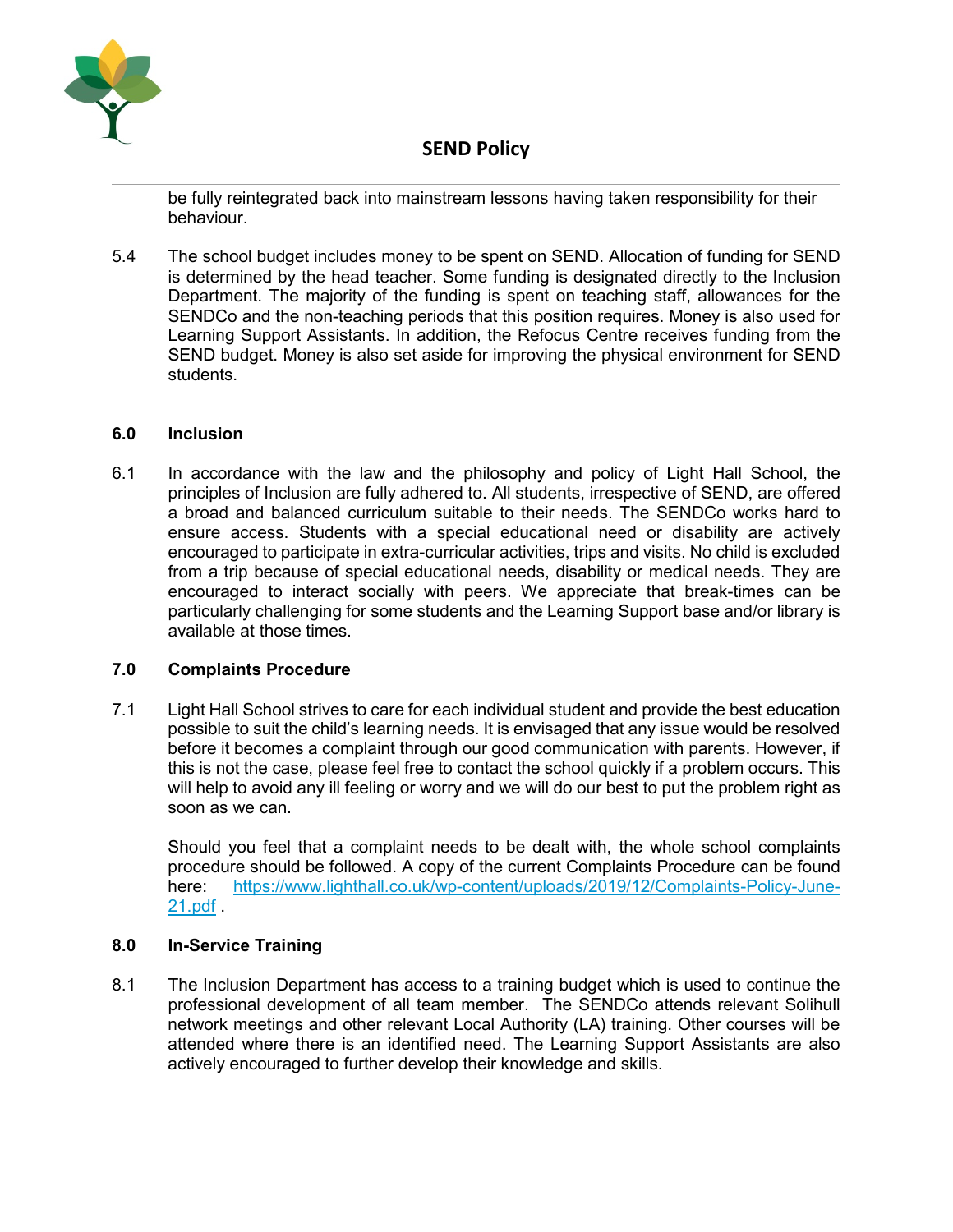

be fully reintegrated back into mainstream lessons having taken responsibility for their behaviour.

5.4 The school budget includes money to be spent on SEND. Allocation of funding for SEND is determined by the head teacher. Some funding is designated directly to the Inclusion Department. The majority of the funding is spent on teaching staff, allowances for the SENDCo and the non-teaching periods that this position requires. Money is also used for Learning Support Assistants. In addition, the Refocus Centre receives funding from the SEND budget. Money is also set aside for improving the physical environment for SEND students.

#### **6.0 Inclusion**

6.1 In accordance with the law and the philosophy and policy of Light Hall School, the principles of Inclusion are fully adhered to. All students, irrespective of SEND, are offered a broad and balanced curriculum suitable to their needs. The SENDCo works hard to ensure access. Students with a special educational need or disability are actively encouraged to participate in extra-curricular activities, trips and visits. No child is excluded from a trip because of special educational needs, disability or medical needs. They are encouraged to interact socially with peers. We appreciate that break-times can be particularly challenging for some students and the Learning Support base and/or library is available at those times.

### **7.0 Complaints Procedure**

7.1 Light Hall School strives to care for each individual student and provide the best education possible to suit the child's learning needs. It is envisaged that any issue would be resolved before it becomes a complaint through our good communication with parents. However, if this is not the case, please feel free to contact the school quickly if a problem occurs. This will help to avoid any ill feeling or worry and we will do our best to put the problem right as soon as we can.

Should you feel that a complaint needs to be dealt with, the whole school complaints procedure should be followed. A copy of the current Complaints Procedure can be found here: [https://www.lighthall.co.uk/wp-content/uploads/2019/12/Complaints-Policy-June-](https://www.lighthall.co.uk/wp-content/uploads/2019/12/Complaints-Policy-June-21.pdf)[21.pdf](https://www.lighthall.co.uk/wp-content/uploads/2019/12/Complaints-Policy-June-21.pdf) .

### **8.0 In-Service Training**

8.1 The Inclusion Department has access to a training budget which is used to continue the professional development of all team member. The SENDCo attends relevant Solihull network meetings and other relevant Local Authority (LA) training. Other courses will be attended where there is an identified need. The Learning Support Assistants are also actively encouraged to further develop their knowledge and skills.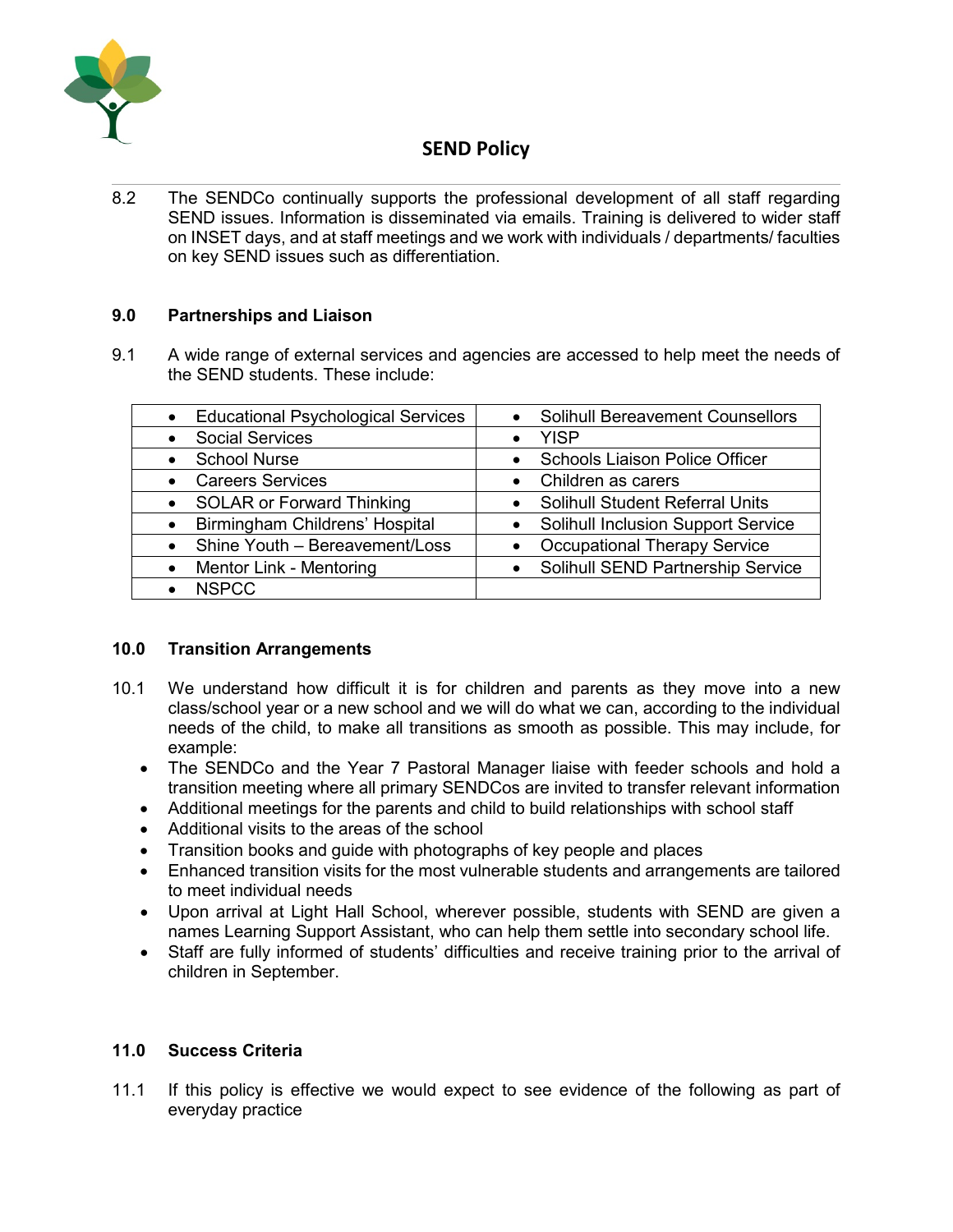

8.2 The SENDCo continually supports the professional development of all staff regarding SEND issues. Information is disseminated via emails. Training is delivered to wider staff on INSET days, and at staff meetings and we work with individuals / departments/ faculties on key SEND issues such as differentiation.

## **9.0 Partnerships and Liaison**

9.1 A wide range of external services and agencies are accessed to help meet the needs of the SEND students. These include:

| <b>Educational Psychological Services</b> | <b>Solihull Bereavement Counsellors</b><br>$\bullet$ |
|-------------------------------------------|------------------------------------------------------|
| <b>Social Services</b>                    | <b>YISP</b>                                          |
| <b>School Nurse</b>                       | <b>Schools Liaison Police Officer</b><br>$\bullet$   |
| <b>Careers Services</b>                   | Children as carers<br>$\bullet$                      |
| <b>SOLAR or Forward Thinking</b>          | <b>Solihull Student Referral Units</b>               |
| Birmingham Childrens' Hospital            | <b>Solihull Inclusion Support Service</b>            |
| Shine Youth - Bereavement/Loss            | <b>Occupational Therapy Service</b>                  |
| Mentor Link - Mentoring                   | Solihull SEND Partnership Service                    |
| <b>NSPCC</b>                              |                                                      |

### **10.0 Transition Arrangements**

- 10.1 We understand how difficult it is for children and parents as they move into a new class/school year or a new school and we will do what we can, according to the individual needs of the child, to make all transitions as smooth as possible. This may include, for example:
	- The SENDCo and the Year 7 Pastoral Manager liaise with feeder schools and hold a transition meeting where all primary SENDCos are invited to transfer relevant information
	- Additional meetings for the parents and child to build relationships with school staff
	- Additional visits to the areas of the school
	- Transition books and guide with photographs of key people and places
	- Enhanced transition visits for the most vulnerable students and arrangements are tailored to meet individual needs
	- Upon arrival at Light Hall School, wherever possible, students with SEND are given a names Learning Support Assistant, who can help them settle into secondary school life.
	- Staff are fully informed of students' difficulties and receive training prior to the arrival of children in September.

### **11.0 Success Criteria**

11.1 If this policy is effective we would expect to see evidence of the following as part of everyday practice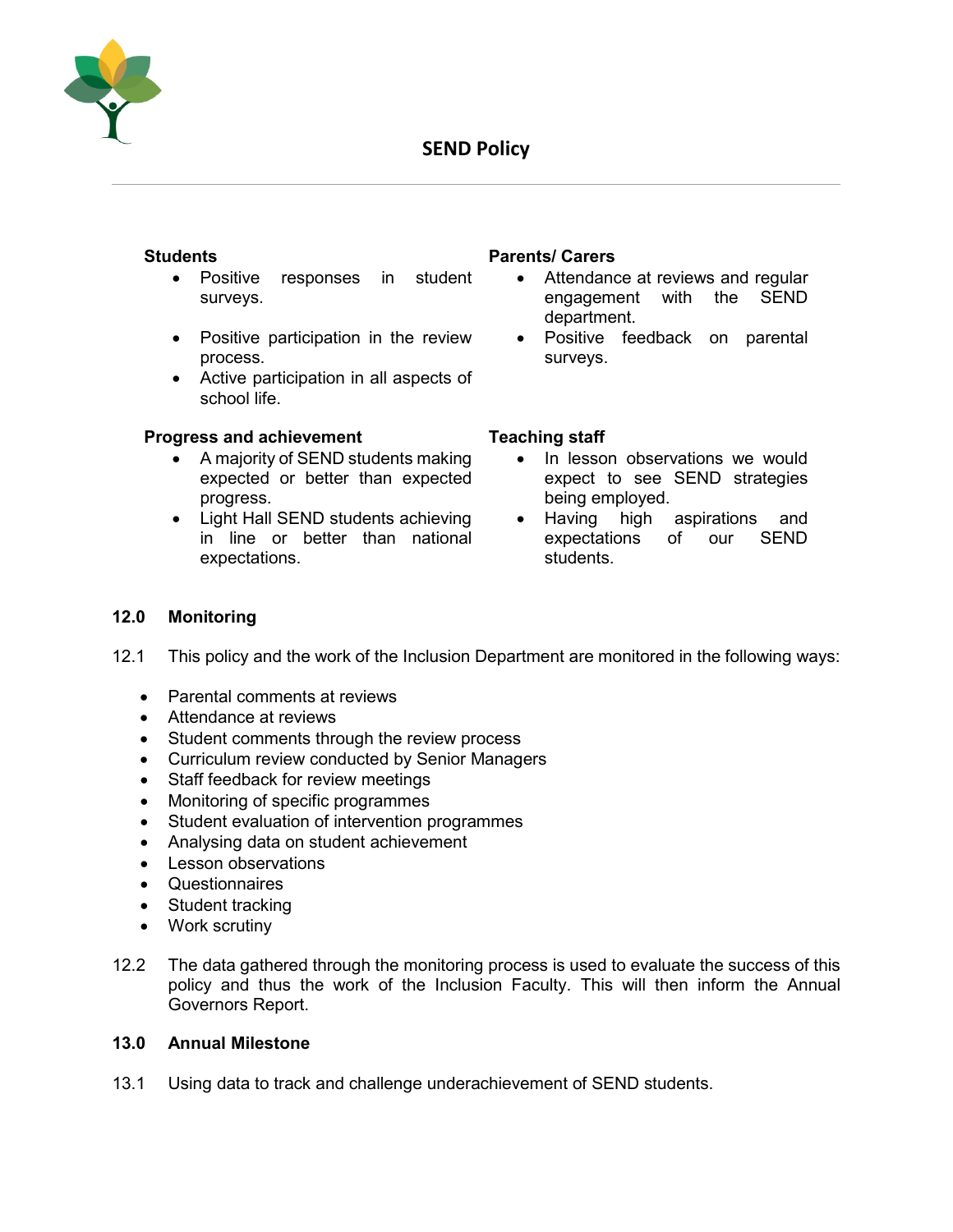

- Positive responses in student surveys.
- Positive participation in the review process.
- Active participation in all aspects of school life.

#### **Progress and achievement Teaching staff**

- A majority of SEND students making expected or better than expected progress.
- Light Hall SEND students achieving in line or better than national expectations.

#### **Students Parents/ Carers**

- Attendance at reviews and regular engagement with the SEND department.
- Positive feedback on parental surveys.

- In lesson observations we would expect to see SEND strategies being employed.
- Having high aspirations and expectations of our SEND students.

## **12.0 Monitoring**

- 12.1 This policy and the work of the Inclusion Department are monitored in the following ways:
	- Parental comments at reviews
	- Attendance at reviews
	- Student comments through the review process
	- Curriculum review conducted by Senior Managers
	- Staff feedback for review meetings
	- Monitoring of specific programmes
	- Student evaluation of intervention programmes
	- Analysing data on student achievement
	- Lesson observations
	- Questionnaires
	- Student tracking
	- Work scrutiny
- 12.2 The data gathered through the monitoring process is used to evaluate the success of this policy and thus the work of the Inclusion Faculty. This will then inform the Annual Governors Report.

#### **13.0 Annual Milestone**

13.1 Using data to track and challenge underachievement of SEND students.